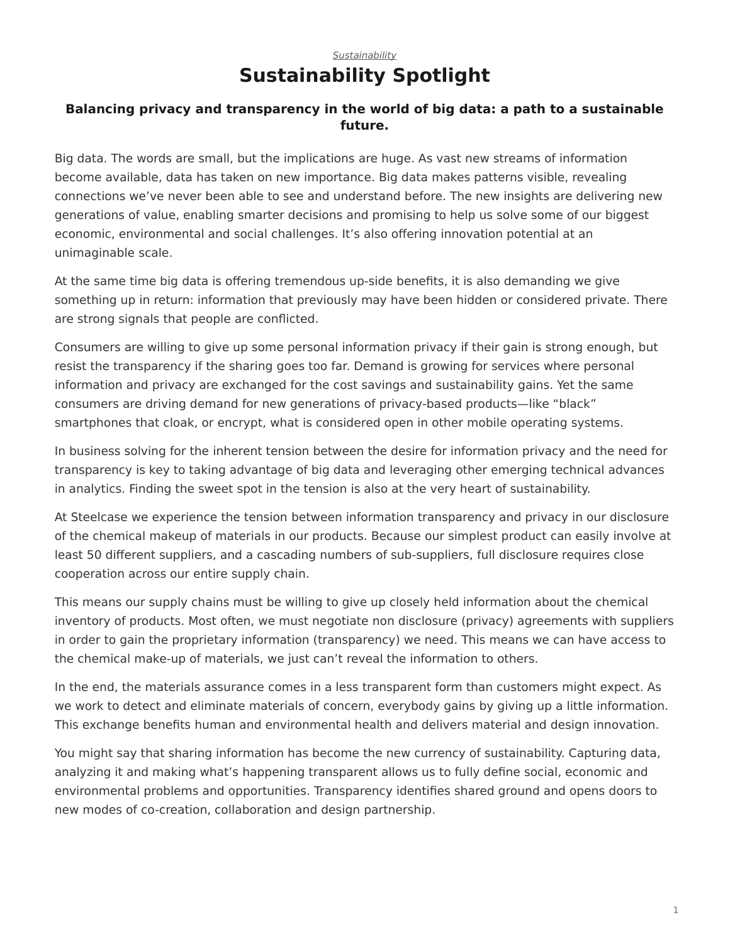## *[Sustainability](https://www.steelcase.com/research/topics/sustainability/)* **Sustainability Spotlight**

## <span id="page-0-0"></span>**Balancing privacy and transparency in the world of big data: a path to a sustainable future.**

Big data. The words are small, but the implications are huge. As vast new streams of information become available, data has taken on new importance. Big data makes patterns visible, revealing connections we've never been able to see and understand before. The new insights are delivering new generations of value, enabling smarter decisions and promising to help us solve some of our biggest economic, environmental and social challenges. It's also offering innovation potential at an unimaginable scale.

At the same time big data is offering tremendous up-side benefits, it is also demanding we give something up in return: information that previously may have been hidden or considered private. There are strong signals that people are conflicted.

Consumers are willing to give up some personal information privacy if their gain is strong enough, but resist the transparency if the sharing goes too far. Demand is growing for services where personal information and privacy are exchanged for the cost savings and sustainability gains. Yet the same consumers are driving demand for new generations of privacy-based products—like "black" smartphones that cloak, or encrypt, what is considered open in other mobile operating systems.

In business solving for the inherent tension between the desire for information privacy and the need for transparency is key to taking advantage of big data and leveraging other emerging technical advances in analytics. Finding the sweet spot in the tension is also at the very heart of sustainability.

At Steelcase we experience the tension between information transparency and privacy in our disclosure of the chemical makeup of materials in our products. Because our simplest product can easily involve at least 50 different suppliers, and a cascading numbers of sub-suppliers, full disclosure requires close cooperation across our entire supply chain.

This means our supply chains must be willing to give up closely held information about the chemical inventory of products. Most often, we must negotiate non disclosure (privacy) agreements with suppliers in order to gain the proprietary information (transparency) we need. This means we can have access to the chemical make-up of materials, we just can't reveal the information to others.

In the end, the materials assurance comes in a less transparent form than customers might expect. As we work to detect and eliminate materials of concern, everybody gains by giving up a little information. This exchange benefits human and environmental health and delivers material and design innovation.

You might say that sharing information has become the new currency of sustainability. Capturing data, analyzing it and making what's happening transparent allows us to fully define social, economic and environmental problems and opportunities. Transparency identifies shared ground and opens doors to new modes of co-creation, collaboration and design partnership.